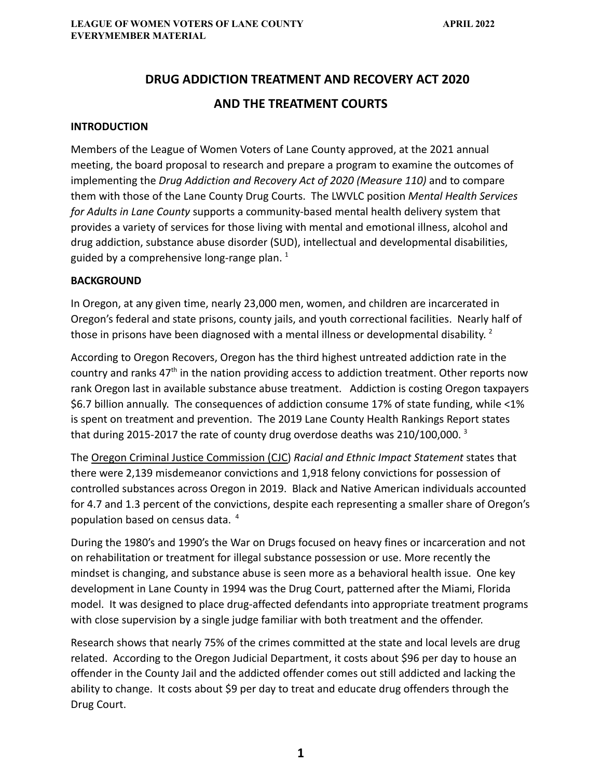# **DRUG ADDICTION TREATMENT AND RECOVERY ACT 2020 AND THE TREATMENT COURTS**

#### **INTRODUCTION**

Members of the League of Women Voters of Lane County approved, at the 2021 annual meeting, the board proposal to research and prepare a program to examine the outcomes of implementing the *Drug Addiction and Recovery Act of 2020 (Measure 110)* and to compare them with those of the Lane County Drug Courts. The LWVLC position *Mental Health Services for Adults in Lane County* supports a community-based mental health delivery system that provides a variety of services for those living with mental and emotional illness, alcohol and drug addiction, substance abuse disorder (SUD), intellectual and developmental disabilities, guided by a comprehensive long-range plan.  $1$ 

#### **BACKGROUND**

In Oregon, at any given time, nearly 23,000 men, women, and children are incarcerated in Oregon's federal and state prisons, county jails, and youth correctional facilities. Nearly half of those in prisons have been diagnosed with a mental illness or developmental disability.  $^2$ 

According to Oregon Recovers, Oregon has the third highest untreated addiction rate in the country and ranks  $47<sup>th</sup>$  in the nation providing access to addiction treatment. Other reports now rank Oregon last in available substance abuse treatment. Addiction is costing Oregon taxpayers \$6.7 billion annually. The consequences of addiction consume 17% of state funding, while <1% is spent on treatment and prevention. The 2019 Lane County Health Rankings Report states that during 2015-2017 the rate of county drug overdose deaths was 210/100,000.  $3$ 

The Oregon Criminal Justice Commission (CJC) *Racial and Ethnic Impact Statement* states that there were 2,139 misdemeanor convictions and 1,918 felony convictions for possession of controlled substances across Oregon in 2019. Black and Native American individuals accounted for 4.7 and 1.3 percent of the convictions, despite each representing a smaller share of Oregon's population based on census data. <sup>4</sup>

During the 1980's and 1990's the War on Drugs focused on heavy fines or incarceration and not on rehabilitation or treatment for illegal substance possession or use. More recently the mindset is changing, and substance abuse is seen more as a behavioral health issue. One key development in Lane County in 1994 was the Drug Court, patterned after the Miami, Florida model. It was designed to place drug-affected defendants into appropriate treatment programs with close supervision by a single judge familiar with both treatment and the offender.

Research shows that nearly 75% of the crimes committed at the state and local levels are drug related. According to the Oregon Judicial Department, it costs about \$96 per day to house an offender in the County Jail and the addicted offender comes out still addicted and lacking the ability to change. It costs about \$9 per day to treat and educate drug offenders through the Drug Court.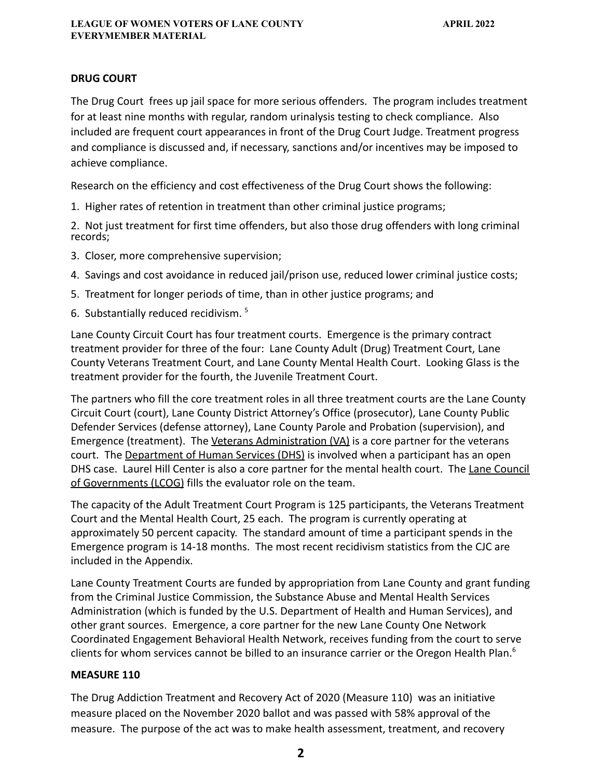#### **DRUG COURT**

The Drug Court frees up jail space for more serious offenders. The program includes treatment for at least nine months with regular, random urinalysis testing to check compliance. Also included are frequent court appearances in front of the Drug Court Judge. Treatment progress and compliance is discussed and, if necessary, sanctions and/or incentives may be imposed to achieve compliance.

Research on the efficiency and cost effectiveness of the Drug Court shows the following:

1. Higher rates of retention in treatment than other criminal justice programs;

2. Not just treatment for first time offenders, but also those drug offenders with long criminal records;

- 3. Closer, more comprehensive supervision;
- 4. Savings and cost avoidance in reduced jail/prison use, reduced lower criminal justice costs;
- 5. Treatment for longer periods of time, than in other justice programs; and
- 6. Substantially reduced recidivism. <sup>5</sup>

Lane County Circuit Court has four treatment courts. Emergence is the primary contract treatment provider for three of the four: Lane County Adult (Drug) Treatment Court, Lane County Veterans Treatment Court, and Lane County Mental Health Court. Looking Glass is the treatment provider for the fourth, the Juvenile Treatment Court.

The partners who fill the core treatment roles in all three treatment courts are the Lane County Circuit Court (court), Lane County District Attorney's Office (prosecutor), Lane County Public Defender Services (defense attorney), Lane County Parole and Probation (supervision), and Emergence (treatment). The Veterans Administration (VA) is a core partner for the veterans court. The Department of Human Services (DHS) is involved when a participant has an open DHS case. Laurel Hill Center is also a core partner for the mental health court. The Lane Council of Governments (LCOG) fills the evaluator role on the team.

The capacity of the Adult Treatment Court Program is 125 participants, the Veterans Treatment Court and the Mental Health Court, 25 each. The program is currently operating at approximately 50 percent capacity. The standard amount of time a participant spends in the Emergence program is 14-18 months. The most recent recidivism statistics from the CJC are included in the Appendix.

Lane County Treatment Courts are funded by appropriation from Lane County and grant funding from the Criminal Justice Commission, the Substance Abuse and Mental Health Services Administration (which is funded by the U.S. Department of Health and Human Services), and other grant sources. Emergence, a core partner for the new Lane County One Network Coordinated Engagement Behavioral Health Network, receives funding from the court to serve clients for whom services cannot be billed to an insurance carrier or the Oregon Health Plan.<sup>6</sup>

# **MEASURE 110**

The Drug Addiction Treatment and Recovery Act of 2020 (Measure 110) was an initiative measure placed on the November 2020 ballot and was passed with 58% approval of the measure. The purpose of the act was to make health assessment, treatment, and recovery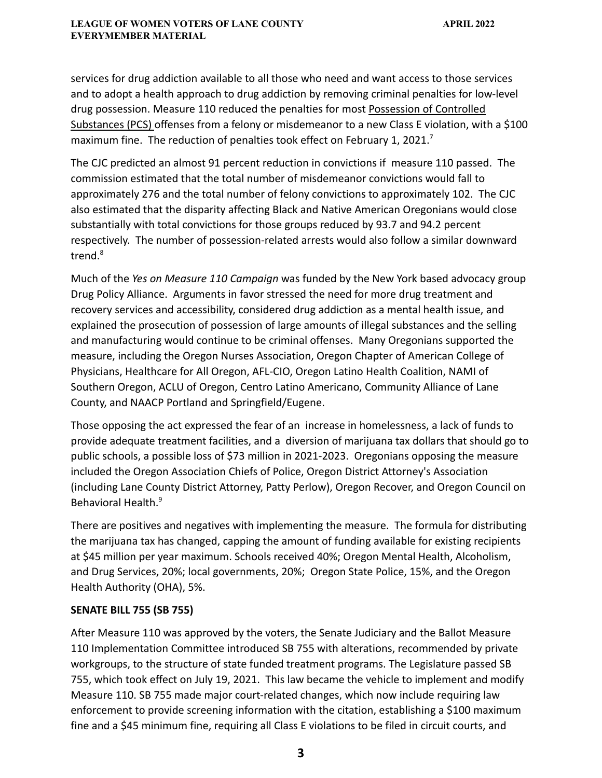services for drug addiction available to all those who need and want access to those services and to adopt a health approach to drug addiction by removing criminal penalties for low-level drug possession. Measure 110 reduced the penalties for most Possession of Controlled Substances (PCS) offenses from a felony or misdemeanor to a new Class E violation, with a \$100 maximum fine. The reduction of penalties took effect on February 1, 2021.<sup>7</sup>

The CJC predicted an almost 91 percent reduction in convictions if measure 110 passed. The commission estimated that the total number of misdemeanor convictions would fall to approximately 276 and the total number of felony convictions to approximately 102. The CJC also estimated that the disparity affecting Black and Native American Oregonians would close substantially with total convictions for those groups reduced by 93.7 and 94.2 percent respectively. The number of possession-related arrests would also follow a similar downward trend.<sup>8</sup>

Much of the *Yes on Measure 110 Campaign* was funded by the New York based advocacy group Drug Policy Alliance. Arguments in favor stressed the need for more drug treatment and recovery services and accessibility, considered drug addiction as a mental health issue, and explained the prosecution of possession of large amounts of illegal substances and the selling and manufacturing would continue to be criminal offenses. Many Oregonians supported the measure, including the Oregon Nurses Association, Oregon Chapter of American College of Physicians, Healthcare for All Oregon, AFL-CIO, Oregon Latino Health Coalition, NAMI of Southern Oregon, ACLU of Oregon, Centro Latino Americano, Community Alliance of Lane County, and NAACP Portland and Springfield/Eugene.

Those opposing the act expressed the fear of an increase in homelessness, a lack of funds to provide adequate treatment facilities, and a diversion of marijuana tax dollars that should go to public schools, a possible loss of \$73 million in 2021-2023. Oregonians opposing the measure included the Oregon Association Chiefs of Police, Oregon District Attorney's Association (including Lane County District Attorney, Patty Perlow), Oregon Recover, and Oregon Council on Behavioral Health.<sup>9</sup>

There are positives and negatives with implementing the measure. The formula for distributing the marijuana tax has changed, capping the amount of funding available for existing recipients at \$45 million per year maximum. Schools received 40%; Oregon Mental Health, Alcoholism, and Drug Services, 20%; local governments, 20%; Oregon State Police, 15%, and the Oregon Health Authority (OHA), 5%.

# **SENATE BILL 755 (SB 755)**

After Measure 110 was approved by the voters, the Senate Judiciary and the Ballot Measure 110 Implementation Committee introduced SB 755 with alterations, recommended by private workgroups, to the structure of state funded treatment programs. The Legislature passed SB 755, which took effect on July 19, 2021. This law became the vehicle to implement and modify Measure 110. SB 755 made major court-related changes, which now include requiring law enforcement to provide screening information with the citation, establishing a \$100 maximum fine and a \$45 minimum fine, requiring all Class E violations to be filed in circuit courts, and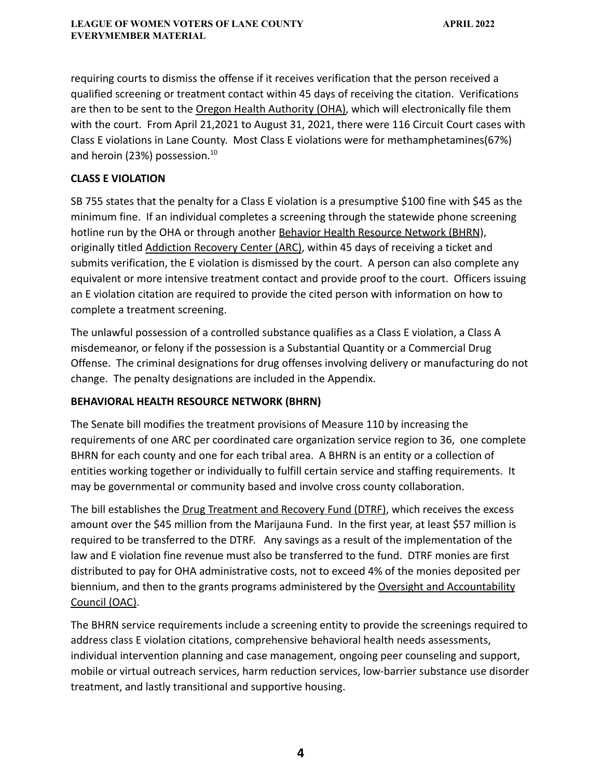requiring courts to dismiss the offense if it receives verification that the person received a qualified screening or treatment contact within 45 days of receiving the citation. Verifications are then to be sent to the Oregon Health Authority (OHA), which will electronically file them with the court. From April 21,2021 to August 31, 2021, there were 116 Circuit Court cases with Class E violations in Lane County. Most Class E violations were for methamphetamines(67%) and heroin (23%) possession.<sup>10</sup>

# **CLASS E VIOLATION**

SB 755 states that the penalty for a Class E violation is a presumptive \$100 fine with \$45 as the minimum fine. If an individual completes a screening through the statewide phone screening hotline run by the OHA or through another Behavior Health Resource Network (BHRN), originally titled Addiction Recovery Center (ARC), within 45 days of receiving a ticket and submits verification, the E violation is dismissed by the court. A person can also complete any equivalent or more intensive treatment contact and provide proof to the court. Officers issuing an E violation citation are required to provide the cited person with information on how to complete a treatment screening.

The unlawful possession of a controlled substance qualifies as a Class E violation, a Class A misdemeanor, or felony if the possession is a Substantial Quantity or a Commercial Drug Offense. The criminal designations for drug offenses involving delivery or manufacturing do not change. The penalty designations are included in the Appendix.

# **BEHAVIORAL HEALTH RESOURCE NETWORK (BHRN)**

The Senate bill modifies the treatment provisions of Measure 110 by increasing the requirements of one ARC per coordinated care organization service region to 36, one complete BHRN for each county and one for each tribal area. A BHRN is an entity or a collection of entities working together or individually to fulfill certain service and staffing requirements. It may be governmental or community based and involve cross county collaboration.

The bill establishes the Drug Treatment and Recovery Fund (DTRF), which receives the excess amount over the \$45 million from the Marijauna Fund. In the first year, at least \$57 million is required to be transferred to the DTRF. Any savings as a result of the implementation of the law and E violation fine revenue must also be transferred to the fund. DTRF monies are first distributed to pay for OHA administrative costs, not to exceed 4% of the monies deposited per biennium, and then to the grants programs administered by the Oversight and Accountability Council (OAC).

The BHRN service requirements include a screening entity to provide the screenings required to address class E violation citations, comprehensive behavioral health needs assessments, individual intervention planning and case management, ongoing peer counseling and support, mobile or virtual outreach services, harm reduction services, low-barrier substance use disorder treatment, and lastly transitional and supportive housing.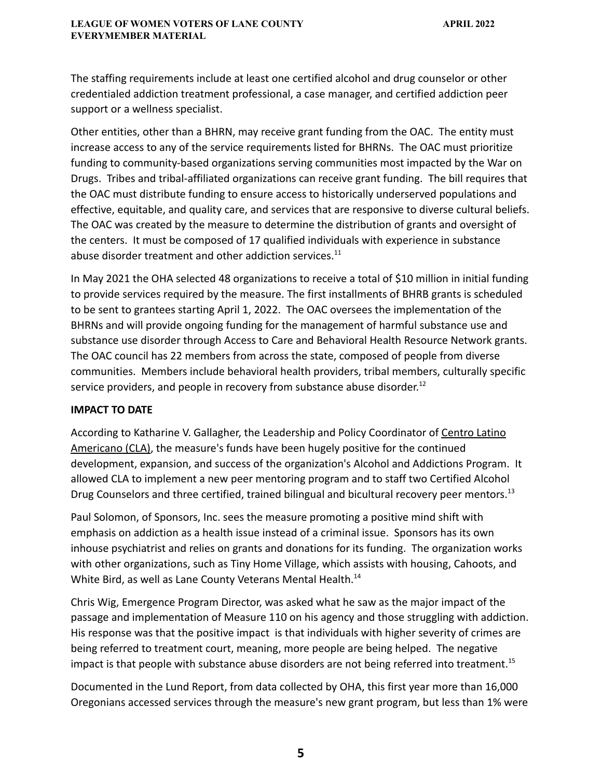The staffing requirements include at least one certified alcohol and drug counselor or other credentialed addiction treatment professional, a case manager, and certified addiction peer support or a wellness specialist.

Other entities, other than a BHRN, may receive grant funding from the OAC. The entity must increase access to any of the service requirements listed for BHRNs. The OAC must prioritize funding to community-based organizations serving communities most impacted by the War on Drugs. Tribes and tribal-affiliated organizations can receive grant funding. The bill requires that the OAC must distribute funding to ensure access to historically underserved populations and effective, equitable, and quality care, and services that are responsive to diverse cultural beliefs. The OAC was created by the measure to determine the distribution of grants and oversight of the centers. It must be composed of 17 qualified individuals with experience in substance abuse disorder treatment and other addiction services.<sup>11</sup>

In May 2021 the OHA selected 48 organizations to receive a total of \$10 million in initial funding to provide services required by the measure. The first installments of BHRB grants is scheduled to be sent to grantees starting April 1, 2022. The OAC oversees the implementation of the BHRNs and will provide ongoing funding for the management of harmful substance use and substance use disorder through Access to Care and Behavioral Health Resource Network grants. The OAC council has 22 members from across the state, composed of people from diverse communities. Members include behavioral health providers, tribal members, culturally specific service providers, and people in recovery from substance abuse disorder.<sup>12</sup>

#### **IMPACT TO DATE**

According to Katharine V. Gallagher, the Leadership and Policy Coordinator of Centro Latino Americano (CLA), the measure's funds have been hugely positive for the continued development, expansion, and success of the organization's Alcohol and Addictions Program. It allowed CLA to implement a new peer mentoring program and to staff two Certified Alcohol Drug Counselors and three certified, trained bilingual and bicultural recovery peer mentors.<sup>13</sup>

Paul Solomon, of Sponsors, Inc. sees the measure promoting a positive mind shift with emphasis on addiction as a health issue instead of a criminal issue. Sponsors has its own inhouse psychiatrist and relies on grants and donations for its funding. The organization works with other organizations, such as Tiny Home Village, which assists with housing, Cahoots, and White Bird, as well as Lane County Veterans Mental Health.<sup>14</sup>

Chris Wig, Emergence Program Director, was asked what he saw as the major impact of the passage and implementation of Measure 110 on his agency and those struggling with addiction. His response was that the positive impact is that individuals with higher severity of crimes are being referred to treatment court, meaning, more people are being helped. The negative impact is that people with substance abuse disorders are not being referred into treatment.<sup>15</sup>

Documented in the Lund Report, from data collected by OHA, this first year more than 16,000 Oregonians accessed services through the measure's new grant program, but less than 1% were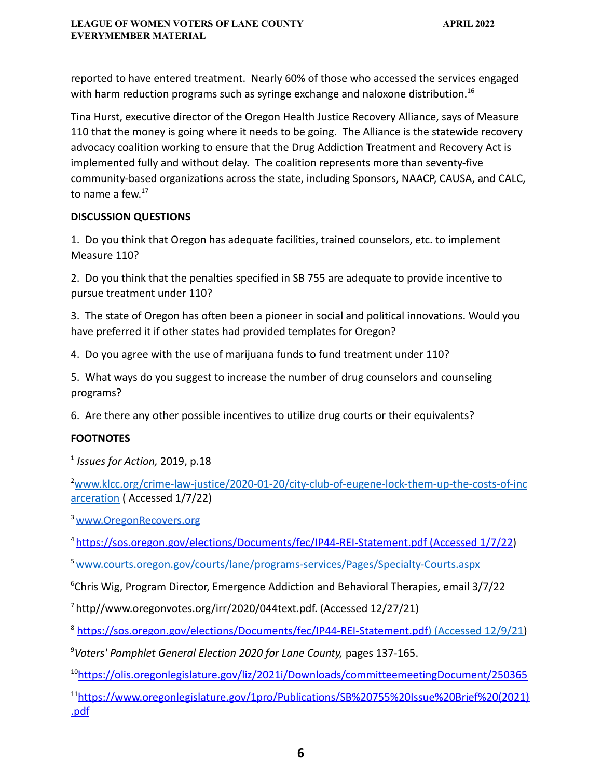reported to have entered treatment. Nearly 60% of those who accessed the services engaged with harm reduction programs such as syringe exchange and naloxone distribution.<sup>16</sup>

Tina Hurst, executive director of the Oregon Health Justice Recovery Alliance, says of Measure 110 that the money is going where it needs to be going. The Alliance is the statewide recovery advocacy coalition working to ensure that the Drug Addiction Treatment and Recovery Act is implemented fully and without delay. The coalition represents more than seventy-five community-based organizations across the state, including Sponsors, NAACP, CAUSA, and CALC, to name a few.<sup>17</sup>

# **DISCUSSION QUESTIONS**

1. Do you think that Oregon has adequate facilities, trained counselors, etc. to implement Measure 110?

2. Do you think that the penalties specified in SB 755 are adequate to provide incentive to pursue treatment under 110?

3. The state of Oregon has often been a pioneer in social and political innovations. Would you have preferred it if other states had provided templates for Oregon?

4. Do you agree with the use of marijuana funds to fund treatment under 110?

5. What ways do you suggest to increase the number of drug counselors and counseling programs?

6. Are there any other possible incentives to utilize drug courts or their equivalents?

# **FOOTNOTES**

**1** *Issues for Action,* 2019, p.18

<sup>2</sup>[www.klcc.org/crime-law-justice/2020-01-20/city-club-of-eugene-lock-them-up-the-costs-of-inc](http://www.klcc.org/crime-law-justice/2020-01-20/city-club-of-eugene-lock-them-up-the-costs-of-incarceration) [arceration](http://www.klcc.org/crime-law-justice/2020-01-20/city-club-of-eugene-lock-them-up-the-costs-of-incarceration) ( Accessed 1/7/22)

<sup>3</sup> [www.OregonRecovers.org](http://www.oregonrecovers.org)

<sup>4</sup> [https://sos.oregon.gov/elections/Documents/fec/IP44-REI-Statement.pdf](https://sos.oregon.gov/elections/Documents/fec/IP44-REI-Statement.pdf)(1.7.22) (Accessed 1/7/22)

<sup>5</sup>[www.courts.oregon.gov/courts/lane/programs-services/Pages/Specialty-Courts.aspx](http://www.courts.oregon.gov/courts/lane/programs-services/Pages/Specialty-Courts.aspx)

 $6$ Chris Wig, Program Director, Emergence Addiction and Behavioral Therapies, email  $3/7/22$ 

<sup>7</sup> http//www.oregonvotes.org/irr/2020/044text.pdf. (Accessed 12/27/21)

<sup>8</sup> [https://sos.oregon.gov/elections/Documents/fec/IP44-REI-Statement.pdf\)](https://sos.oregon.gov/elections/Documents/fec/IP44-REI-Statement.pdf) (Accessed 12/9/21)

<sup>9</sup>*Voters' Pamphlet General Election 2020 for Lane County,* pages 137-165.

<sup>10</sup><https://olis.oregonlegislature.gov/liz/2021i/Downloads/committeemeetingDocument/250365>

<sup>11</sup>[https://www.oregonlegislature.gov/1pro/Publications/SB%20755%20Issue%20Brief%20\(2021\)](https://www.oregonlegislature.gov/1pro/Publications/SB%20755%20Issue%20Brief%20(2021).pdf) [.pdf](https://www.oregonlegislature.gov/1pro/Publications/SB%20755%20Issue%20Brief%20(2021).pdf)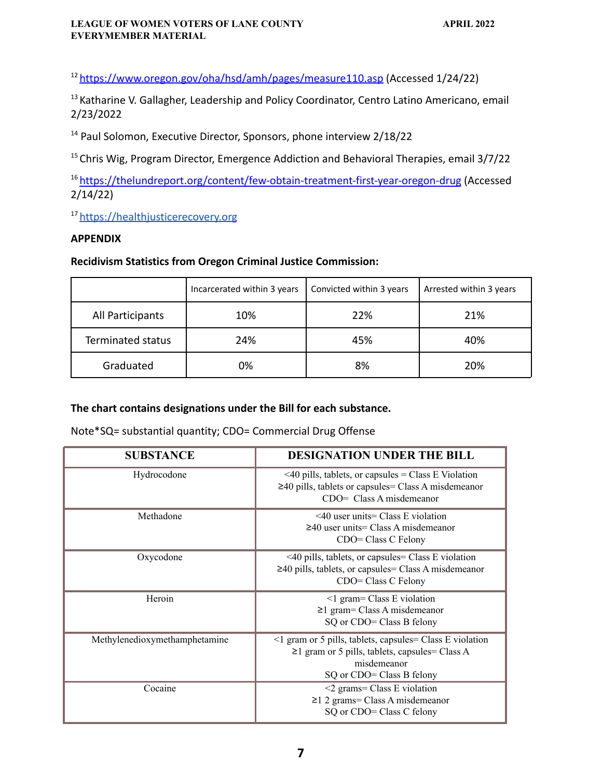#### **LEAGUE OF WOMEN VOTERS OF LANE COUNTY APRIL 2022 EVERYMEMBER MATERIAL**

<sup>12</sup> <https://www.oregon.gov/oha/hsd/amh/pages/measure110.asp> (Accessed 1/24/22)

<sup>13</sup> Katharine V. Gallagher, Leadership and Policy Coordinator, Centro Latino Americano, email 2/23/2022

<sup>14</sup> Paul Solomon, Executive Director, Sponsors, phone interview 2/18/22

<sup>15</sup> Chris Wig, Program Director, Emergence Addiction and Behavioral Therapies, email 3/7/22

<sup>16</sup> <https://thelundreport.org/content/few-obtain-treatment-first-year-oregon-drug> (Accessed 2/14/22)

<sup>17</sup> <https://healthjusticerecovery.org>

#### **APPENDIX**

# **Recidivism Statistics from Oregon Criminal Justice Commission:**

|                          | Incarcerated within 3 years | Convicted within 3 years | Arrested within 3 years |
|--------------------------|-----------------------------|--------------------------|-------------------------|
| All Participants         | 10%                         | 22%                      | 21%                     |
| <b>Terminated status</b> | 24%                         | 45%                      | 40%                     |
| Graduated                | 0%                          | 8%                       | 20%                     |

# **The chart contains designations under the Bill for each substance.**

#### Note\*SQ= substantial quantity; CDO= Commercial Drug Offense

| <b>SUBSTANCE</b>              | <b>DESIGNATION UNDER THE BILL</b>                                                                                                                            |
|-------------------------------|--------------------------------------------------------------------------------------------------------------------------------------------------------------|
| Hydrocodone                   | $\leq$ 40 pills, tablets, or capsules = Class E Violation<br>$\geq$ 40 pills, tablets or capsules = Class A misdemeanor<br>$CDO = Class A misdemeanor$       |
| Methadone                     | $\leq$ 40 user units= Class E violation<br>$\geq$ 40 user units= Class A misdemeanor<br>CDO= Class C Felony                                                  |
| Oxycodone                     | <40 pills, tablets, or capsules= Class E violation<br>$\geq$ 40 pills, tablets, or capsules = Class A misdemeanor<br>CDO= Class C Felony                     |
| Heroin                        | $\leq$ 1 gram= Class E violation<br>$\geq$ 1 gram= Class A misdemeanor<br>SQ or CDO= Class B felony                                                          |
| Methylenedioxymethamphetamine | <1 gram or 5 pills, tablets, capsules= Class E violation<br>$\geq$ 1 gram or 5 pills, tablets, capsules= Class A<br>misdemeanor<br>SQ or CDO= Class B felony |
| Cocaine                       | $\leq$ 2 grams= Class E violation<br>$\geq$ 1 2 grams= Class A misdemeanor<br>SQ or CDO= Class C felony                                                      |